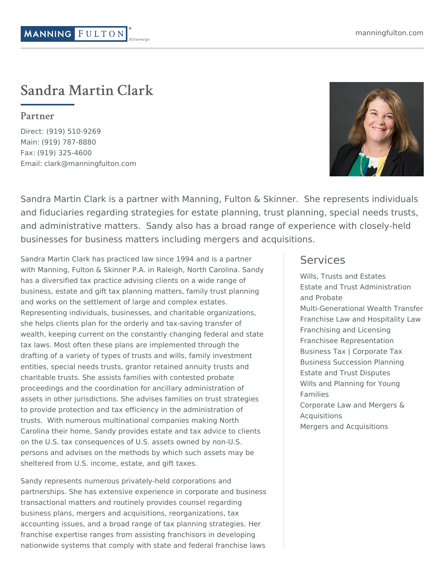# **Sandra Martin Clark**

**MANNING FULTON** 

# **Partner**

Direct: (919) 510-9269 Main: (919) 787-8880 Fax: (919) 325-4600 Email: [clark@manningfulton.com](mailto:clark@manningfulton.com)



Sandra Martin Clark is a partner with Manning, Fulton & Skinner. She represents individuals and fiduciaries regarding strategies for estate planning, trust planning, special needs trusts, and administrative matters. Sandy also has a broad range of experience with closely-held businesses for business matters including mergers and acquisitions.

Sandra Martin Clark has practiced law since 1994 and is a partner with Manning, Fulton & Skinner P.A. in Raleigh, North Carolina. Sandy has a diversified tax practice advising clients on a wide range of business, estate and gift tax planning matters, family trust planning and works on the settlement of large and complex estates. Representing individuals, businesses, and charitable organizations, she helps clients plan for the orderly and tax-saving transfer of wealth, keeping current on the constantly changing federal and state tax laws. Most often these plans are implemented through the drafting of a variety of types of trusts and wills, family investment entities, special needs trusts, grantor retained annuity trusts and charitable trusts. She assists families with contested probate proceedings and the coordination for ancillary administration of assets in other jurisdictions. She advises families on trust strategies to provide protection and tax efficiency in the administration of trusts. With numerous multinational companies making North Carolina their home, Sandy provides estate and tax advice to clients on the U.S. tax consequences of U.S. assets owned by non-U.S. persons and advises on the methods by which such assets may be sheltered from U.S. income, estate, and gift taxes.

Sandy represents numerous privately-held corporations and partnerships. She has extensive experience in corporate and business transactional matters and routinely provides counsel regarding business plans, mergers and acquisitions, reorganizations, tax accounting issues, and a broad range of tax planning strategies. Her franchise expertise ranges from assisting franchisors in developing nationwide systems that comply with state and federal franchise laws

# Services

Wills, Trusts and [Estates](https://www.manningfulton.com/services/tax-wealth-preservation/) Estate and Trust [Administration](https://www.manningfulton.com/services/estate-trust-administration-probate/) and Probate [Multi-Generational](https://www.manningfulton.com/services/multi-generational-wealth-transfer/) Wealth Transfer Franchise Law and [Hospitality](https://www.manningfulton.com/services/franchise-hospitality/) Law [Franchising](https://www.manningfulton.com/services/franchising-and-licensing/) and Licensing Franchisee [Representation](https://www.manningfulton.com/services/franchisee-representation/) Business Tax | [Corporate](https://www.manningfulton.com/services/business-tax-attorney/) Tax Business [Succession](https://www.manningfulton.com/services/business-succession-planning/) Planning Estate and Trust [Disputes](https://www.manningfulton.com/services/estate-trust-disputes/) Wills and [Planning](https://www.manningfulton.com/services/wills-planning-young-families/) for Young Families Corporate Law and Mergers & [Acquisitions](https://www.manningfulton.com/services/corporate-law-mergers-acquisitions/) Mergers and [Acquisitions](https://www.manningfulton.com/services/mergers-and-acquisitions-attorneys-in-raleigh-and-durham-nc/)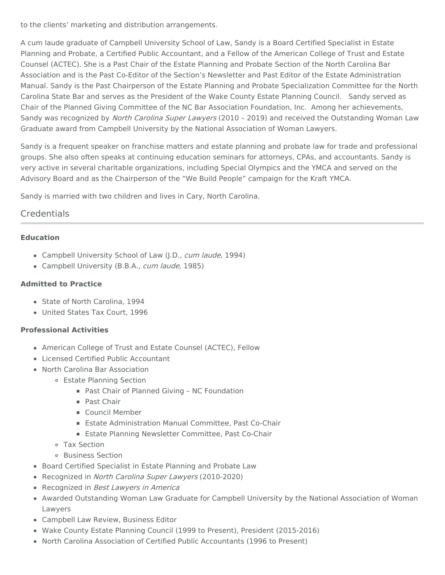to the clients' marketing and distribution arrangements.

A cum laude graduate of Campbell University School of Law, Sandy is a Board Certified Specialist in Estate Planning and Probate, a Certified Public [Accountant,](http://www.actec.org/) and a Fellow of the American College of Trust and Estate Counsel (ACTEC). She is a Past Chair of the Estate Planning and Probate Section of the North Carolina Bar Association and is the Past Co-Editor of the Section's Newsletter and Past Editor of the Estate Administration Manual. Sandy is the Past Chairperson of the Estate Planning and Probate Specialization Committee for the North Carolina State Bar and serves as the President of the Wake County Estate Planning Council. Sandy served as Chair of the Planned Giving Committee of the NC Bar Association Foundation, Inc. Among her achievements, Sandy was recognized by North Carolina Super [Lawyers](http://www.superlawyers.com/about/selection_process.html) (2010 - 2019) and received the Outstanding Woman Law Graduate award from Campbell University by the National Association of Woman Lawyers.

Sandy is a frequent speaker on franchise matters and estate planning and probate law for trade and professional groups. She also often speaks at continuing education seminars for attorneys, CPAs, and accountants. Sandy is very active in several charitable organizations, including Special Olympics and the YMCA and served on the Advisory Board and as the Chairperson of the "We Build People" campaign for the Kraft YMCA.

Sandy is married with two children and lives in Cary, North Carolina.

### **Credentials**

#### **Education**

- Campbell University School of Law (J.D., cum laude, 1994)
- Campbell University (B.B.A., cum laude, 1985)

#### **Admitted to Practice**

- State of North Carolina, 1994
- United States Tax Court, 1996

#### **Professional Activities**

- American College of Trust and Estate Counsel (ACTEC), Fellow
- Licensed Certified Public Accountant
- North Carolina Bar Association
	- Estate Planning Section
		- Past Chair of Planned Giving NC Foundation
		- **Past Chair**
		- Council Member
		- Estate Administration Manual Committee, Past Co-Chair
		- **Estate Planning Newsletter Committee, Past Co-Chair**
		- Tax Section
		- Business Section
- Board Certified Specialist in Estate Planning and Probate Law
- Recognized in North Carolina Super [Lawyers](https://profiles.superlawyers.com/north-carolina/raleigh/lawyer/sandra-m-clark/a34803fa-e9c8-486f-ada2-45bd2222b471.html) (2010-2020)
- Recognized in Best [Lawyers](https://www.bestlawyers.com/lawyers/sandra-martin-clark/152754) in America
- Awarded Outstanding Woman Law Graduate for Campbell University by the National Association of Woman Lawyers
- Campbell Law Review, Business Editor
- Wake County Estate Planning Council (1999 to Present), President (2015-2016)
- North Carolina Association of Certified Public Accountants (1996 to Present)